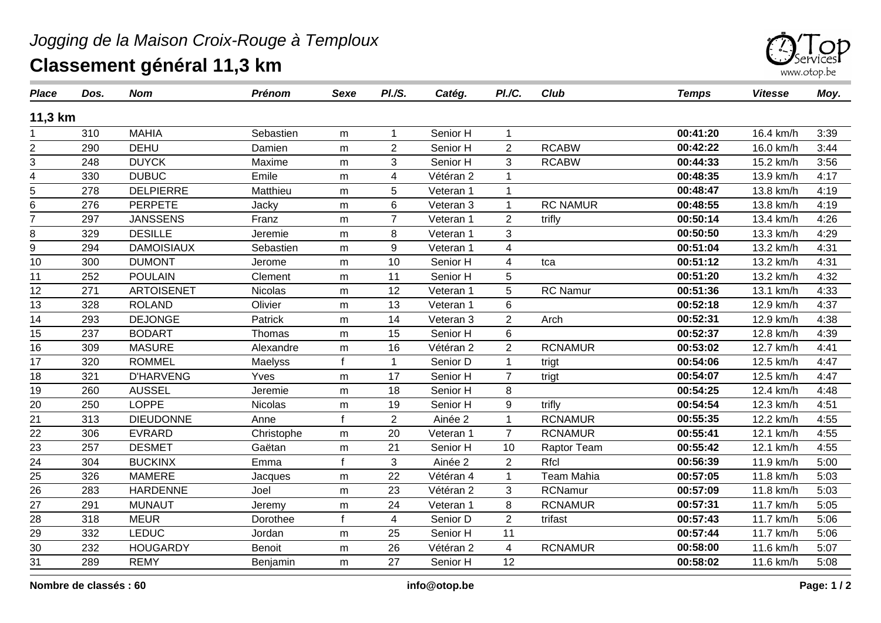

| <b>Place</b>    | Dos. | <b>Nom</b>        | <b>Prénom</b>  | Sexe         | PI./S.         | Catég.    | PI./C.                  | <b>Club</b>       | <b>Temps</b> | <b>Vitesse</b> | Moy. |
|-----------------|------|-------------------|----------------|--------------|----------------|-----------|-------------------------|-------------------|--------------|----------------|------|
| 11,3 km         |      |                   |                |              |                |           |                         |                   |              |                |      |
|                 | 310  | <b>MAHIA</b>      | Sebastien      | m            | $\mathbf 1$    | Senior H  | $\mathbf 1$             |                   | 00:41:20     | 16.4 km/h      | 3:39 |
| 2               | 290  | <b>DEHU</b>       | Damien         | m            | $\overline{2}$ | Senior H  | $\overline{2}$          | <b>RCABW</b>      | 00:42:22     | 16.0 km/h      | 3:44 |
| 3               | 248  | <b>DUYCK</b>      | Maxime         | m            | 3              | Senior H  | 3                       | <b>RCABW</b>      | 00:44:33     | 15.2 km/h      | 3:56 |
| 4               | 330  | <b>DUBUC</b>      | Emile          | m            | 4              | Vétéran 2 | 1                       |                   | 00:48:35     | 13.9 km/h      | 4:17 |
| 5               | 278  | <b>DELPIERRE</b>  | Matthieu       | m            | 5              | Veteran 1 | 1                       |                   | 00:48:47     | 13.8 km/h      | 4:19 |
| 6               | 276  | <b>PERPETE</b>    | Jacky          | m            | 6              | Veteran 3 | 1                       | <b>RC NAMUR</b>   | 00:48:55     | 13.8 km/h      | 4:19 |
| $\overline{7}$  | 297  | <b>JANSSENS</b>   | Franz          | m            | $\overline{7}$ | Veteran 1 | $\overline{2}$          | trifly            | 00:50:14     | 13.4 km/h      | 4:26 |
| 8               | 329  | <b>DESILLE</b>    | Jeremie        | m            | 8              | Veteran 1 | 3                       |                   | 00:50:50     | 13.3 km/h      | 4:29 |
| $\overline{9}$  | 294  | <b>DAMOISIAUX</b> | Sebastien      | m            | 9              | Veteran 1 | $\overline{\mathbf{4}}$ |                   | 00:51:04     | 13.2 km/h      | 4:31 |
| 10              | 300  | <b>DUMONT</b>     | Jerome         | m            | 10             | Senior H  | 4                       | tca               | 00:51:12     | 13.2 km/h      | 4:31 |
| 11              | 252  | <b>POULAIN</b>    | Clement        | m            | 11             | Senior H  | 5                       |                   | 00:51:20     | 13.2 km/h      | 4:32 |
| 12              | 271  | <b>ARTOISENET</b> | Nicolas        | m            | 12             | Veteran 1 | 5                       | <b>RC Namur</b>   | 00:51:36     | 13.1 km/h      | 4:33 |
| 13              | 328  | <b>ROLAND</b>     | Olivier        | m            | 13             | Veteran 1 | 6                       |                   | 00:52:18     | 12.9 km/h      | 4:37 |
| 14              | 293  | <b>DEJONGE</b>    | Patrick        | m            | 14             | Veteran 3 | $\overline{2}$          | Arch              | 00:52:31     | 12.9 km/h      | 4:38 |
| 15              | 237  | <b>BODART</b>     | Thomas         | m            | 15             | Senior H  | 6                       |                   | 00:52:37     | 12.8 km/h      | 4:39 |
| 16              | 309  | <b>MASURE</b>     | Alexandre      | m            | 16             | Vétéran 2 | $\overline{2}$          | <b>RCNAMUR</b>    | 00:53:02     | 12.7 km/h      | 4:41 |
| 17              | 320  | <b>ROMMEL</b>     | Maelyss        |              | $\mathbf{1}$   | Senior D  | 1                       | trigt             | 00:54:06     | 12.5 km/h      | 4:47 |
| 18              | 321  | <b>D'HARVENG</b>  | Yves           | m            | 17             | Senior H  | $\overline{7}$          | trigt             | 00:54:07     | 12.5 km/h      | 4:47 |
| 19              | 260  | <b>AUSSEL</b>     | Jeremie        | m            | 18             | Senior H  | 8                       |                   | 00:54:25     | 12.4 km/h      | 4:48 |
| 20              | 250  | <b>LOPPE</b>      | <b>Nicolas</b> | m            | 19             | Senior H  | 9                       | trifly            | 00:54:54     | 12.3 km/h      | 4:51 |
| 21              | 313  | <b>DIEUDONNE</b>  | Anne           | $\mathsf{f}$ | $\overline{2}$ | Ainée 2   | 1                       | <b>RCNAMUR</b>    | 00:55:35     | 12.2 km/h      | 4:55 |
| 22              | 306  | <b>EVRARD</b>     | Christophe     | m            | 20             | Veteran 1 | $\overline{7}$          | <b>RCNAMUR</b>    | 00:55:41     | 12.1 km/h      | 4:55 |
| 23              | 257  | <b>DESMET</b>     | Gaëtan         | m            | 21             | Senior H  | 10                      | Raptor Team       | 00:55:42     | 12.1 km/h      | 4:55 |
| $\overline{24}$ | 304  | <b>BUCKINX</b>    | Emma           |              | 3              | Ainée 2   | $\overline{c}$          | Rfcl              | 00:56:39     | 11.9 km/h      | 5:00 |
| $\frac{25}{26}$ | 326  | <b>MAMERE</b>     | Jacques        | m            | 22             | Vétéran 4 |                         | <b>Team Mahia</b> | 00:57:05     | 11.8 km/h      | 5:03 |
|                 | 283  | <b>HARDENNE</b>   | Joel           | m            | 23             | Vétéran 2 | 3                       | <b>RCNamur</b>    | 00:57:09     | 11.8 km/h      | 5:03 |
| 27              | 291  | <b>MUNAUT</b>     | Jeremy         | ${\sf m}$    | 24             | Veteran 1 | 8                       | <b>RCNAMUR</b>    | 00:57:31     | 11.7 km/h      | 5:05 |
| 28              | 318  | <b>MEUR</b>       | Dorothee       | f            | $\overline{4}$ | Senior D  | $\overline{2}$          | trifast           | 00:57:43     | 11.7 km/h      | 5:06 |
| 29              | 332  | <b>LEDUC</b>      | Jordan         | m            | 25             | Senior H  | 11                      |                   | 00:57:44     | 11.7 km/h      | 5:06 |
| 30              | 232  | <b>HOUGARDY</b>   | <b>Benoit</b>  | m            | 26             | Vétéran 2 | 4                       | <b>RCNAMUR</b>    | 00:58:00     | 11.6 km/h      | 5:07 |
| 31              | 289  | <b>REMY</b>       | Benjamin       | m            | 27             | Senior H  | 12                      |                   | 00:58:02     | 11.6 km/h      | 5:08 |